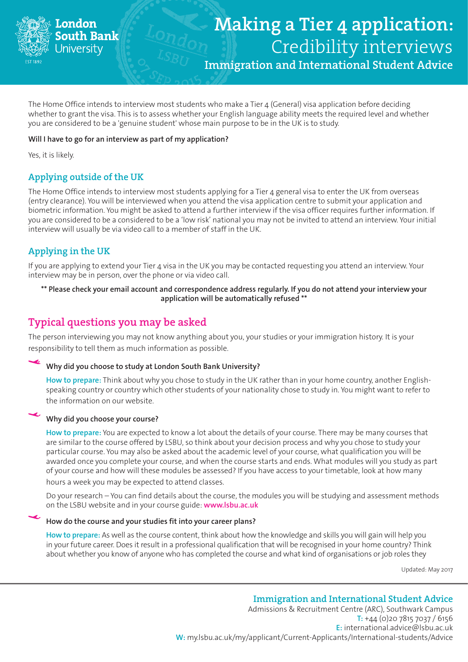

# Making a Tier 4 application: Credibility interviews

Immigration and International Student Advice

The Home Office intends to interview most students who make a Tier 4 (General) visa application before deciding whether to grant the visa. This is to assess whether your English language ability meets the required level and whether you are considered to be a 'genuine student' whose main purpose to be in the UK is to study.

#### **Will I have to go for an interview as part of my application?**

Yes, it is likely.

### Applying outside of the UK

The Home Office intends to interview most students applying for a Tier 4 general visa to enter the UK from overseas (entry clearance). You will be interviewed when you attend the visa application centre to submit your application and biometric information. You might be asked to attend a further interview if the visa officer requires further information. If you are considered to be a considered to be a 'low risk' national you may not be invited to attend an interview. Your initial interview will usually be via video call to a member of staff in the UK.

## Applying in the UK

If you are applying to extend your Tier 4 visa in the UK you may be contacted requesting you attend an interview. Your interview may be in person, over the phone or via video call.

**\*\* Please check your email account and correspondence address regularly. If you do not attend your interview your application will be automatically refused \*\***

## Typical questions you may be asked

The person interviewing you may not know anything about you, your studies or your immigration history. It is your responsibility to tell them as much information as possible.

#### **Why did you choose to study at London South Bank University?**

**How to prepare:** Think about why you chose to study in the UK rather than in your home country, another Englishspeaking country or country which other students of your nationality chose to study in. You might want to refer to the information on our website.

#### **Why did you choose your course?**

**How to prepare:** You are expected to know a lot about the details of your course. There may be many courses that are similar to the course offered by LSBU, so think about your decision process and why you chose to study your particular course. You may also be asked about the academic level of your course, what qualification you will be awarded once you complete your course, and when the course starts and ends. What modules will you study as part of your course and how will these modules be assessed? If you have access to your timetable, look at how many hours a week you may be expected to attend classes.

Do your research – You can find details about the course, the modules you will be studying and assessment methods on the LSBU website and in your course guide: **www.lsbu.ac.uk**

#### **How do the course and your studies fit into your career plans?**

**How to prepare:** As well as the course content, think about how the knowledge and skills you will gain will help you in your future career. Does it result in a professional qualification that will be recognised in your home country? Think about whether you know of anyone who has completed the course and what kind of organisations or job roles they

Updated: May 2017

Immigration and International Student Advice Admissions & Recruitment Centre (ARC), Southwark Campus **T:** +44 (0)20 7815 7037 / 6156 **E:** international.advice@lsbu.ac.uk **W:** [my.lsbu.ac.uk/my/applicant/Current-Applicants/International-students/Advice](https://my.lsbu.ac.uk/my/portal/Student-Life-Centre/International-Students/Advice)